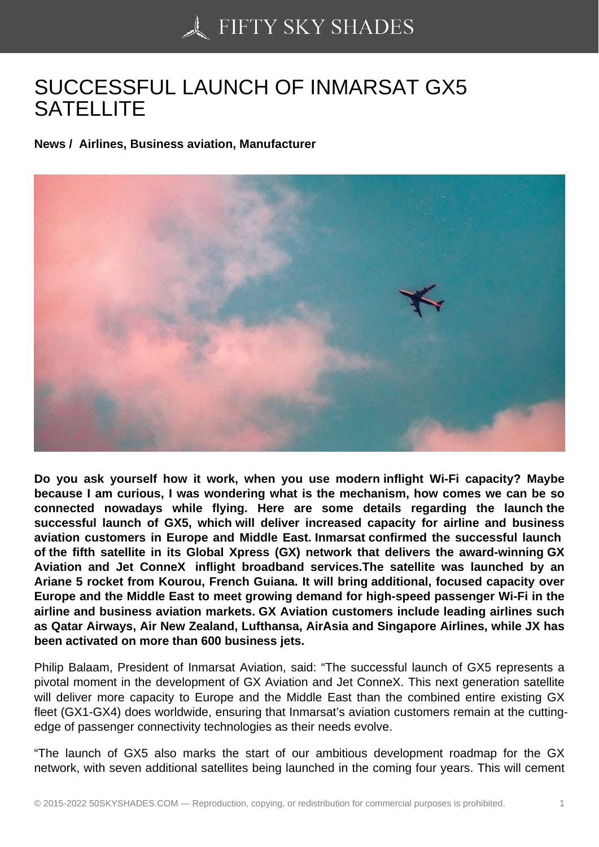## [SUCCESSFUL LAUNC](https://50skyshades.com)H OF INMARSAT GX5 SATELLITE

News / Airlines, Business aviation, Manufacturer

Do you ask yourself how it work, when you use modern inflight Wi-Fi capacity? Maybe because I am curious, I was wondering what is the mechanism, how comes we can be so connected nowadays while flying. Here are some details regarding the launch the successful launch of GX5, which will deliver increased capacity for airline and business aviation customers in Europe and Middle East. Inmarsat confirmed the successful launch of the fifth satellite in its Global Xpress (GX) network that delivers the award-winning GX Aviation and Jet ConneX inflight broadband services.The satellite was launched by an Ariane 5 rocket from Kourou, French Guiana. It will bring additional, focused capacity over Europe and the Middle East to meet growing demand for high-speed passenger Wi-Fi in the airline and business aviation markets. GX Aviation customers include leading airlines such as Qatar Airways, Air New Zealand, Lufthansa, AirAsia and Singapore Airlines, while JX has been activated on more than 600 business jets.

Philip Balaam, President of Inmarsat Aviation, said: "The successful launch of GX5 represents a pivotal moment in the development of GX Aviation and Jet ConneX. This next generation satellite will deliver more capacity to Europe and the Middle East than the combined entire existing GX fleet (GX1-GX4) does worldwide, ensuring that Inmarsat's aviation customers remain at the cuttingedge of passenger connectivity technologies as their needs evolve.

"The launch of GX5 also marks the start of our ambitious development roadmap for the GX network, with seven additional satellites being launched in the coming four years. This will cement